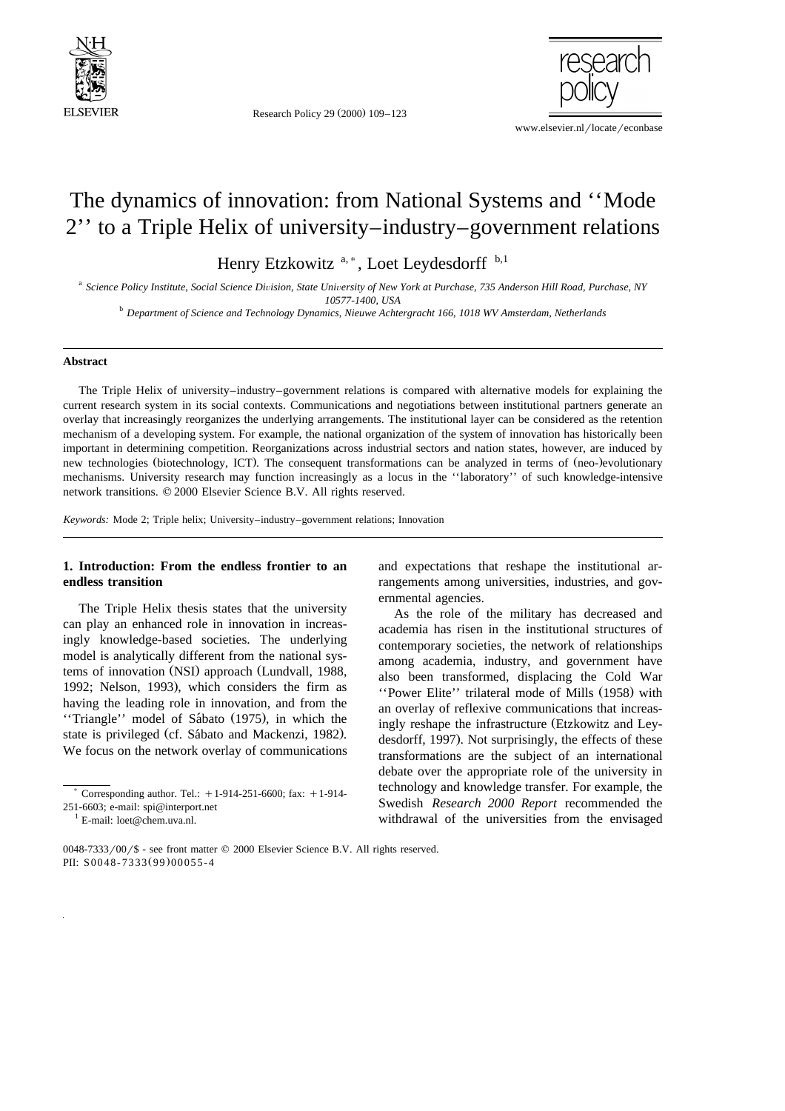

Research Policy 29 (2000) 109-123

www.elsevier.nl/locate/econbase

# The dynamics of innovation: from National Systems and ''Mode 2'' to a Triple Helix of university–industry–government relations

Henry Etzkowitz<sup>a,\*</sup>, Loet Leydesdorff <sup>b,1</sup>

<sup>a</sup> Science Policy Institute, Social Science Division, State University of New York at Purchase, 735 Anderson Hill Road, Purchase, NY *10577-1400, USA* <sup>b</sup> *Department of Science and Technology Dynamics, Nieuwe Achtergracht 166, 1018 WV Amsterdam, Netherlands*

## **Abstract**

The Triple Helix of university–industry–government relations is compared with alternative models for explaining the current research system in its social contexts. Communications and negotiations between institutional partners generate an overlay that increasingly reorganizes the underlying arrangements. The institutional layer can be considered as the retention mechanism of a developing system. For example, the national organization of the system of innovation has historically been important in determining competition. Reorganizations across industrial sectors and nation states, however, are induced by new technologies (biotechnology, ICT). The consequent transformations can be analyzed in terms of (neo-)evolutionary mechanisms. University research may function increasingly as a locus in the ''laboratory'' of such knowledge-intensive network transitions.  $© 2000$  Elsevier Science B.V. All rights reserved.

*Keywords:* Mode 2; Triple helix; University–industry–government relations; Innovation

# **1. Introduction: From the endless frontier to an endless transition**

The Triple Helix thesis states that the university can play an enhanced role in innovation in increasingly knowledge-based societies. The underlying model is analytically different from the national systems of innovation (NSI) approach (Lundvall, 1988, 1992; Nelson, 1993), which considers the firm as having the leading role in innovation, and from the "Triangle" model of Sábato (1975), in which the state is privileged (cf. Sábato and Mackenzi, 1982). We focus on the network overlay of communications

251-6603; e-mail: spi@interport.net <sup>1</sup> E-mail: loet@chem.uva.nl.

and expectations that reshape the institutional arrangements among universities, industries, and governmental agencies.

As the role of the military has decreased and academia has risen in the institutional structures of contemporary societies, the network of relationships among academia, industry, and government have also been transformed, displacing the Cold War "Power Elite" trilateral mode of Mills (1958) with an overlay of reflexive communications that increasingly reshape the infrastructure (Etzkowitz and Leydesdorff, 1997). Not surprisingly, the effects of these transformations are the subject of an international debate over the appropriate role of the university in technology and knowledge transfer. For example, the Swedish *Research 2000 Report* recommended the withdrawal of the universities from the envisaged

 $*$  Corresponding author. Tel.:  $+1-914-251-6600$ ; fax:  $+1-914-$ 

 $0.048-7333/00/$ \$ - see front matter  $\odot$  2000 Elsevier Science B.V. All rights reserved. PII: S0048-7333(99)00055-4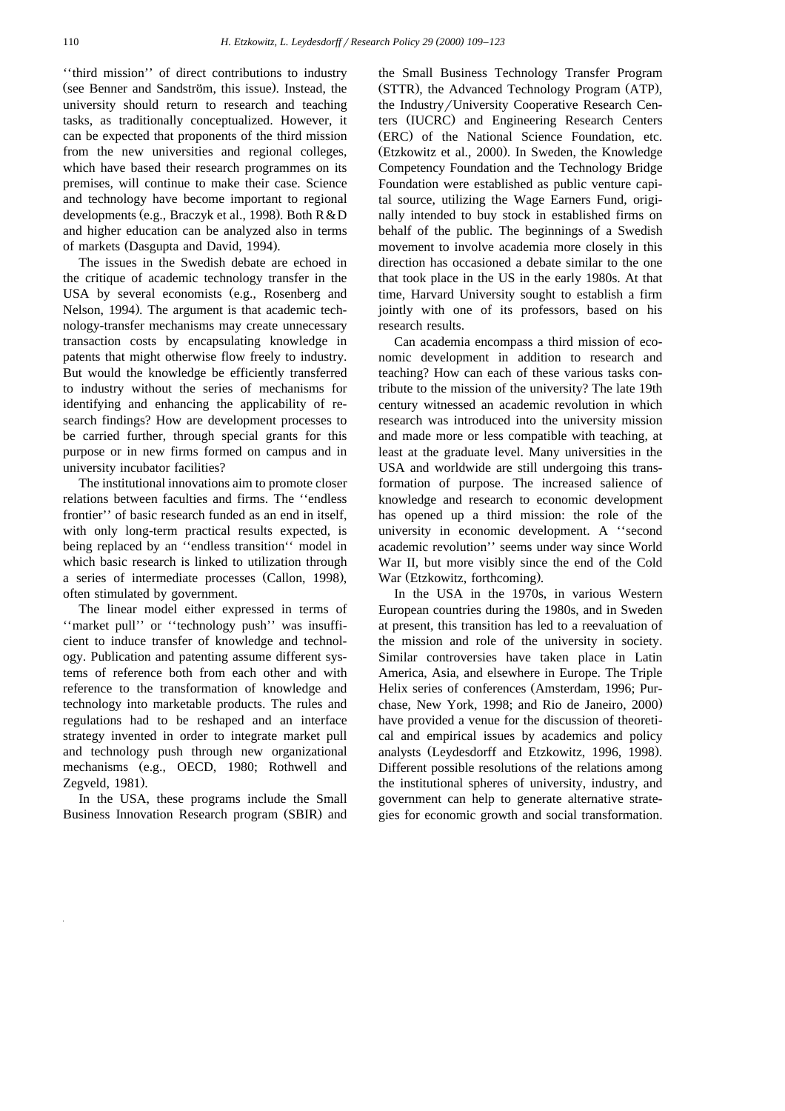''third mission'' of direct contributions to industry (see Benner and Sandström, this issue). Instead, the university should return to research and teaching tasks, as traditionally conceptualized. However, it can be expected that proponents of the third mission from the new universities and regional colleges, which have based their research programmes on its premises, will continue to make their case. Science and technology have become important to regional developments (e.g., Braczyk et al., 1998). Both  $R&D$ and higher education can be analyzed also in terms of markets (Dasgupta and David, 1994).

The issues in the Swedish debate are echoed in the critique of academic technology transfer in the USA by several economists (e.g., Rosenberg and Nelson, 1994). The argument is that academic technology-transfer mechanisms may create unnecessary transaction costs by encapsulating knowledge in patents that might otherwise flow freely to industry. But would the knowledge be efficiently transferred to industry without the series of mechanisms for identifying and enhancing the applicability of research findings? How are development processes to be carried further, through special grants for this purpose or in new firms formed on campus and in university incubator facilities?

The institutional innovations aim to promote closer relations between faculties and firms. The ''endless frontier'' of basic research funded as an end in itself, with only long-term practical results expected, is being replaced by an ''endless transition'' model in which basic research is linked to utilization through a series of intermediate processes (Callon, 1998), often stimulated by government.

The linear model either expressed in terms of ''market pull'' or ''technology push'' was insufficient to induce transfer of knowledge and technology. Publication and patenting assume different systems of reference both from each other and with reference to the transformation of knowledge and technology into marketable products. The rules and regulations had to be reshaped and an interface strategy invented in order to integrate market pull and technology push through new organizational mechanisms (e.g., OECD, 1980; Rothwell and Zegveld, 1981).

In the USA, these programs include the Small Business Innovation Research program (SBIR) and

the Small Business Technology Transfer Program (STTR), the Advanced Technology Program (ATP). the Industry/University Cooperative Research Centers (IUCRC) and Engineering Research Centers (ERC) of the National Science Foundation, etc. (Etzkowitz et al., 2000). In Sweden, the Knowledge Competency Foundation and the Technology Bridge Foundation were established as public venture capital source, utilizing the Wage Earners Fund, originally intended to buy stock in established firms on behalf of the public. The beginnings of a Swedish movement to involve academia more closely in this direction has occasioned a debate similar to the one that took place in the US in the early 1980s. At that time, Harvard University sought to establish a firm jointly with one of its professors, based on his research results.

Can academia encompass a third mission of economic development in addition to research and teaching? How can each of these various tasks contribute to the mission of the university? The late 19th century witnessed an academic revolution in which research was introduced into the university mission and made more or less compatible with teaching, at least at the graduate level. Many universities in the USA and worldwide are still undergoing this transformation of purpose. The increased salience of knowledge and research to economic development has opened up a third mission: the role of the university in economic development. A ''second academic revolution'' seems under way since World War II, but more visibly since the end of the Cold War (Etzkowitz, forthcoming).

In the USA in the 1970s, in various Western European countries during the 1980s, and in Sweden at present, this transition has led to a reevaluation of the mission and role of the university in society. Similar controversies have taken place in Latin America, Asia, and elsewhere in Europe. The Triple Helix series of conferences (Amsterdam, 1996; Purchase, New York, 1998; and Rio de Janeiro, 2000. have provided a venue for the discussion of theoretical and empirical issues by academics and policy analysts (Leydesdorff and Etzkowitz, 1996, 1998). Different possible resolutions of the relations among the institutional spheres of university, industry, and government can help to generate alternative strategies for economic growth and social transformation.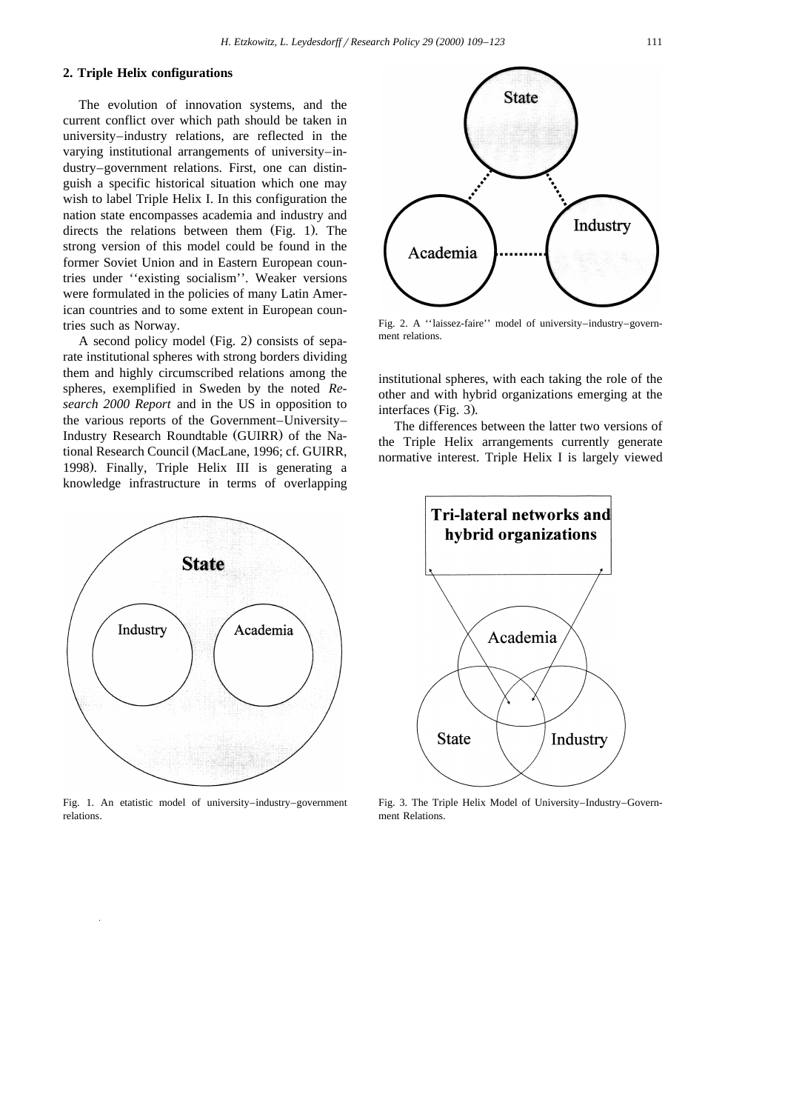# **2. Triple Helix configurations**

The evolution of innovation systems, and the current conflict over which path should be taken in university–industry relations, are reflected in the varying institutional arrangements of university–industry–government relations. First, one can distinguish a specific historical situation which one may wish to label Triple Helix I. In this configuration the nation state encompasses academia and industry and directs the relations between them  $(Fig. 1)$ . The strong version of this model could be found in the former Soviet Union and in Eastern European countries under ''existing socialism''. Weaker versions were formulated in the policies of many Latin American countries and to some extent in European countries such as Norway.

A second policy model (Fig. 2) consists of separate institutional spheres with strong borders dividing them and highly circumscribed relations among the spheres, exemplified in Sweden by the noted *Research 2000 Report* and in the US in opposition to the various reports of the Government–University– Industry Research Roundtable (GUIRR) of the National Research Council (MacLane, 1996; cf. GUIRR, 1998). Finally, Triple Helix III is generating a knowledge infrastructure in terms of overlapping



Fig. 1. An etatistic model of university–industry–government relations.



Fig. 2. A ''laissez-faire'' model of university–industry–government relations.

institutional spheres, with each taking the role of the other and with hybrid organizations emerging at the interfaces (Fig. 3).

The differences between the latter two versions of the Triple Helix arrangements currently generate normative interest. Triple Helix I is largely viewed



Fig. 3. The Triple Helix Model of University–Industry–Government Relations.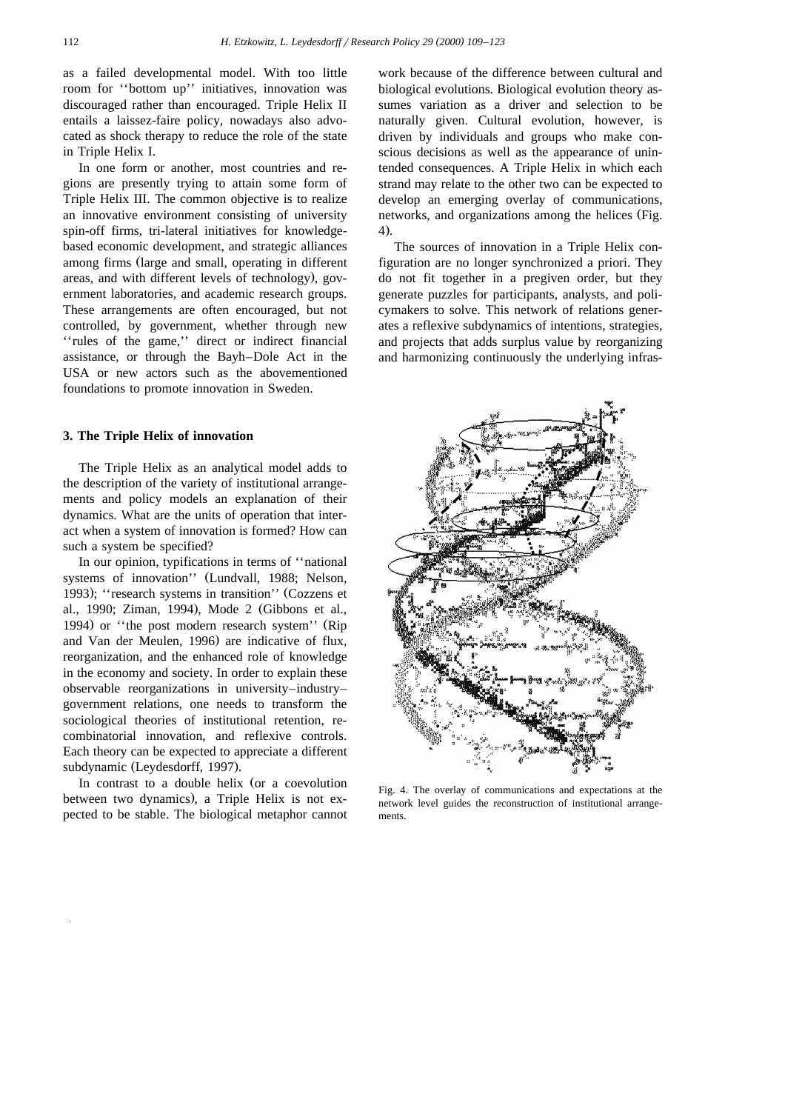as a failed developmental model. With too little room for ''bottom up'' initiatives, innovation was discouraged rather than encouraged. Triple Helix II entails a laissez-faire policy, nowadays also advocated as shock therapy to reduce the role of the state in Triple Helix I.

In one form or another, most countries and regions are presently trying to attain some form of Triple Helix III. The common objective is to realize an innovative environment consisting of university spin-off firms, tri-lateral initiatives for knowledgebased economic development, and strategic alliances among firms (large and small, operating in different areas, and with different levels of technology), government laboratories, and academic research groups. These arrangements are often encouraged, but not controlled, by government, whether through new ''rules of the game,'' direct or indirect financial assistance, or through the Bayh–Dole Act in the USA or new actors such as the abovementioned foundations to promote innovation in Sweden.

### **3. The Triple Helix of innovation**

The Triple Helix as an analytical model adds to the description of the variety of institutional arrangements and policy models an explanation of their dynamics. What are the units of operation that interact when a system of innovation is formed? How can such a system be specified?

In our opinion, typifications in terms of ''national systems of innovation" (Lundvall, 1988; Nelson, 1993); "research systems in transition" (Cozzens et al., 1990; Ziman, 1994), Mode 2 (Gibbons et al., 1994) or "the post modern research system" (Rip and Van der Meulen, 1996) are indicative of flux, reorganization, and the enhanced role of knowledge in the economy and society. In order to explain these observable reorganizations in university–industry– government relations, one needs to transform the sociological theories of institutional retention, recombinatorial innovation, and reflexive controls. Each theory can be expected to appreciate a different subdynamic (Leydesdorff, 1997).

In contrast to a double helix (or a coevolution between two dynamics), a Triple Helix is not expected to be stable. The biological metaphor cannot work because of the difference between cultural and biological evolutions. Biological evolution theory assumes variation as a driver and selection to be naturally given. Cultural evolution, however, is driven by individuals and groups who make conscious decisions as well as the appearance of unintended consequences. A Triple Helix in which each strand may relate to the other two can be expected to develop an emerging overlay of communications, networks, and organizations among the helices (Fig.  $4)$ .

The sources of innovation in a Triple Helix configuration are no longer synchronized a priori. They do not fit together in a pregiven order, but they generate puzzles for participants, analysts, and policymakers to solve. This network of relations generates a reflexive subdynamics of intentions, strategies, and projects that adds surplus value by reorganizing and harmonizing continuously the underlying infras-



Fig. 4. The overlay of communications and expectations at the network level guides the reconstruction of institutional arrangements.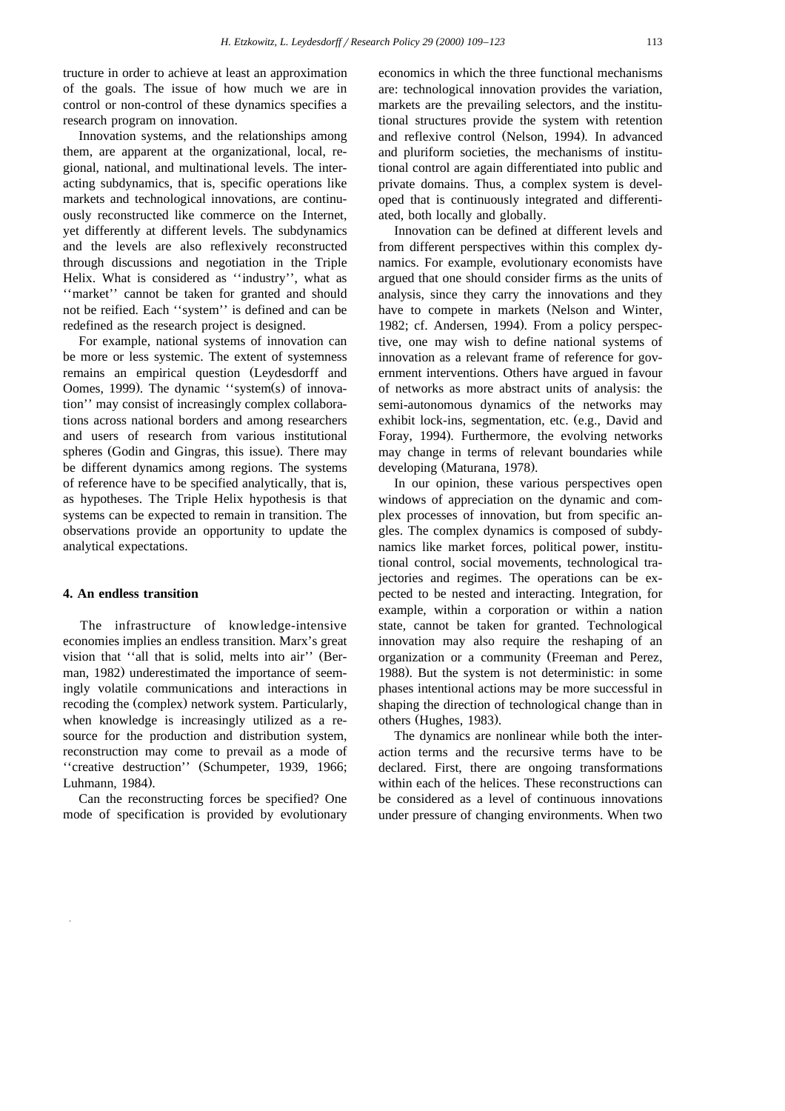tructure in order to achieve at least an approximation of the goals. The issue of how much we are in control or non-control of these dynamics specifies a research program on innovation.

Innovation systems, and the relationships among them, are apparent at the organizational, local, regional, national, and multinational levels. The interacting subdynamics, that is, specific operations like markets and technological innovations, are continuously reconstructed like commerce on the Internet, yet differently at different levels. The subdynamics and the levels are also reflexively reconstructed through discussions and negotiation in the Triple Helix. What is considered as ''industry'', what as ''market'' cannot be taken for granted and should not be reified. Each ''system'' is defined and can be redefined as the research project is designed.

For example, national systems of innovation can be more or less systemic. The extent of systemness remains an empirical question (Leydesdorff and Oomes, 1999). The dynamic "system(s) of innovation'' may consist of increasingly complex collaborations across national borders and among researchers and users of research from various institutional spheres (Godin and Gingras, this issue). There may be different dynamics among regions. The systems of reference have to be specified analytically, that is, as hypotheses. The Triple Helix hypothesis is that systems can be expected to remain in transition. The observations provide an opportunity to update the analytical expectations.

#### **4. An endless transition**

The infrastructure of knowledge-intensive economies implies an endless transition. Marx's great vision that "all that is solid, melts into air" (Berman, 1982) underestimated the importance of seemingly volatile communications and interactions in recoding the (complex) network system. Particularly, when knowledge is increasingly utilized as a resource for the production and distribution system, reconstruction may come to prevail as a mode of "creative destruction" (Schumpeter, 1939, 1966; Luhmann, 1984).

Can the reconstructing forces be specified? One mode of specification is provided by evolutionary economics in which the three functional mechanisms are: technological innovation provides the variation, markets are the prevailing selectors, and the institutional structures provide the system with retention and reflexive control (Nelson, 1994). In advanced and pluriform societies, the mechanisms of institutional control are again differentiated into public and private domains. Thus, a complex system is developed that is continuously integrated and differentiated, both locally and globally.

Innovation can be defined at different levels and from different perspectives within this complex dynamics. For example, evolutionary economists have argued that one should consider firms as the units of analysis, since they carry the innovations and they have to compete in markets (Nelson and Winter, 1982; cf. Andersen, 1994). From a policy perspective, one may wish to define national systems of innovation as a relevant frame of reference for government interventions. Others have argued in favour of networks as more abstract units of analysis: the semi-autonomous dynamics of the networks may exhibit lock-ins, segmentation, etc. (e.g., David and Foray, 1994). Furthermore, the evolving networks may change in terms of relevant boundaries while developing (Maturana, 1978).

In our opinion, these various perspectives open windows of appreciation on the dynamic and complex processes of innovation, but from specific angles. The complex dynamics is composed of subdynamics like market forces, political power, institutional control, social movements, technological trajectories and regimes. The operations can be expected to be nested and interacting. Integration, for example, within a corporation or within a nation state, cannot be taken for granted. Technological innovation may also require the reshaping of an organization or a community (Freeman and Perez, 1988). But the system is not deterministic: in some phases intentional actions may be more successful in shaping the direction of technological change than in others (Hughes, 1983).

The dynamics are nonlinear while both the interaction terms and the recursive terms have to be declared. First, there are ongoing transformations within each of the helices. These reconstructions can be considered as a level of continuous innovations under pressure of changing environments. When two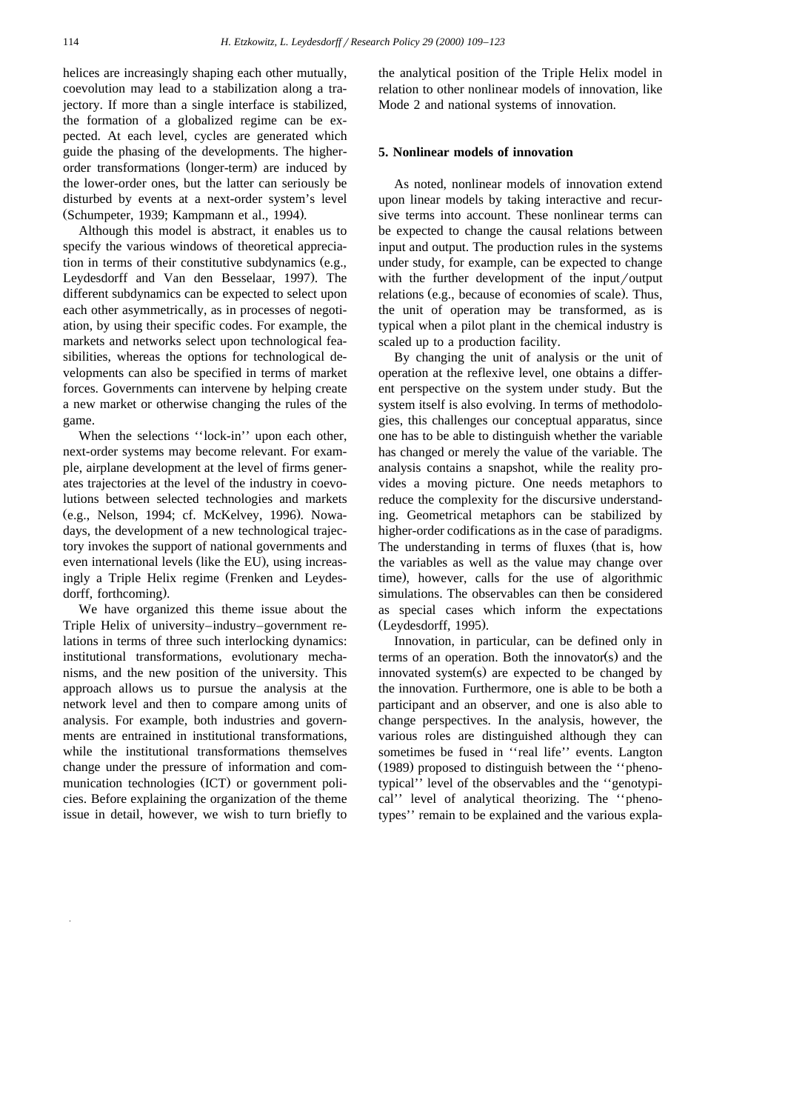helices are increasingly shaping each other mutually, coevolution may lead to a stabilization along a trajectory. If more than a single interface is stabilized, the formation of a globalized regime can be expected. At each level, cycles are generated which guide the phasing of the developments. The higherorder transformations (longer-term) are induced by the lower-order ones, but the latter can seriously be disturbed by events at a next-order system's level (Schumpeter, 1939; Kampmann et al., 1994).

Although this model is abstract, it enables us to specify the various windows of theoretical appreciation in terms of their constitutive subdynamics  $(e.g.,)$ Leydesdorff and Van den Besselaar, 1997). The different subdynamics can be expected to select upon each other asymmetrically, as in processes of negotiation, by using their specific codes. For example, the markets and networks select upon technological feasibilities, whereas the options for technological developments can also be specified in terms of market forces. Governments can intervene by helping create a new market or otherwise changing the rules of the game.

When the selections "lock-in" upon each other, next-order systems may become relevant. For example, airplane development at the level of firms generates trajectories at the level of the industry in coevolutions between selected technologies and markets (e.g., Nelson, 1994; cf. McKelvey, 1996). Nowadays, the development of a new technological trajectory invokes the support of national governments and even international levels (like the EU), using increasingly a Triple Helix regime (Frenken and Leydesdorff, forthcoming).

We have organized this theme issue about the Triple Helix of university–industry–government relations in terms of three such interlocking dynamics: institutional transformations, evolutionary mechanisms, and the new position of the university. This approach allows us to pursue the analysis at the network level and then to compare among units of analysis. For example, both industries and governments are entrained in institutional transformations, while the institutional transformations themselves change under the pressure of information and communication technologies (ICT) or government policies. Before explaining the organization of the theme issue in detail, however, we wish to turn briefly to

the analytical position of the Triple Helix model in relation to other nonlinear models of innovation, like Mode 2 and national systems of innovation.

## **5. Nonlinear models of innovation**

As noted, nonlinear models of innovation extend upon linear models by taking interactive and recursive terms into account. These nonlinear terms can be expected to change the causal relations between input and output. The production rules in the systems under study, for example, can be expected to change with the further development of the input/output relations (e.g., because of economies of scale). Thus, the unit of operation may be transformed, as is typical when a pilot plant in the chemical industry is scaled up to a production facility.

By changing the unit of analysis or the unit of operation at the reflexive level, one obtains a different perspective on the system under study. But the system itself is also evolving. In terms of methodologies, this challenges our conceptual apparatus, since one has to be able to distinguish whether the variable has changed or merely the value of the variable. The analysis contains a snapshot, while the reality provides a moving picture. One needs metaphors to reduce the complexity for the discursive understanding. Geometrical metaphors can be stabilized by higher-order codifications as in the case of paradigms. The understanding in terms of fluxes (that is, how the variables as well as the value may change over time), however, calls for the use of algorithmic simulations. The observables can then be considered as special cases which inform the expectations (Leydesdorff, 1995).

Innovation, in particular, can be defined only in terms of an operation. Both the innovator  $(s)$  and the innovated system(s) are expected to be changed by the innovation. Furthermore, one is able to be both a participant and an observer, and one is also able to change perspectives. In the analysis, however, the various roles are distinguished although they can sometimes be fused in ''real life'' events. Langton  $(1989)$  proposed to distinguish between the "phenotypical'' level of the observables and the ''genotypical'' level of analytical theorizing. The ''phenotypes'' remain to be explained and the various expla-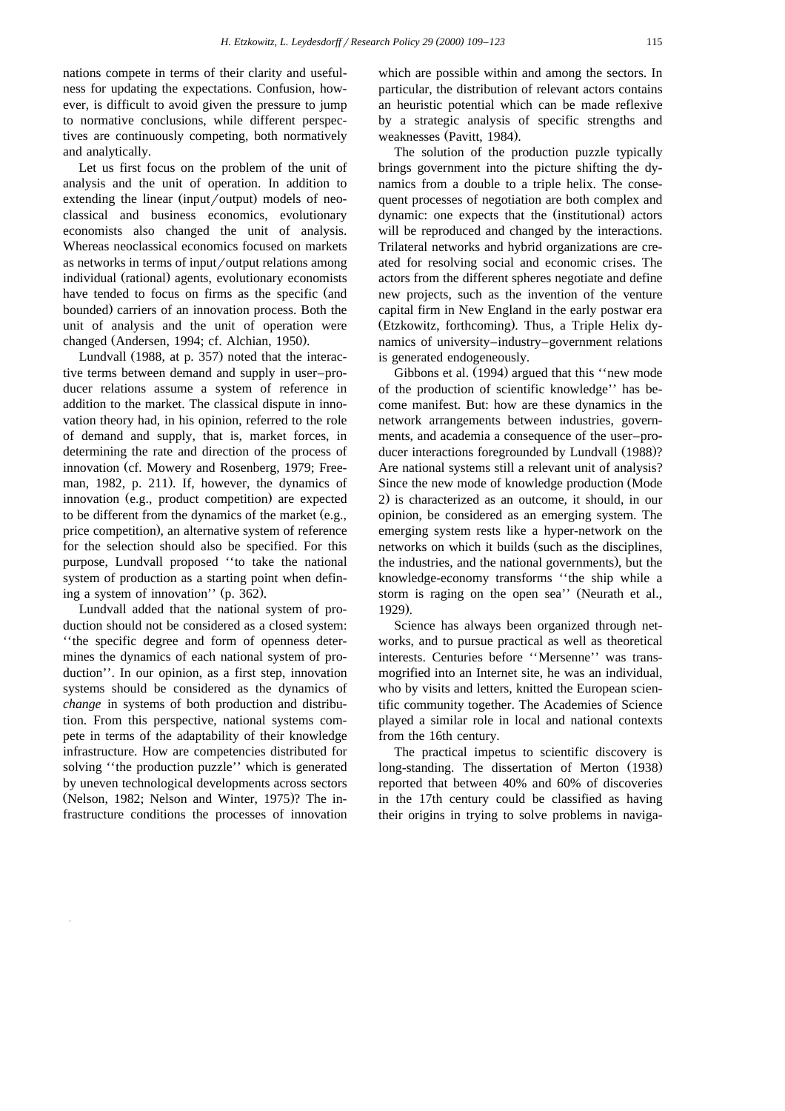nations compete in terms of their clarity and usefulness for updating the expectations. Confusion, however, is difficult to avoid given the pressure to jump to normative conclusions, while different perspectives are continuously competing, both normatively and analytically.

Let us first focus on the problem of the unit of analysis and the unit of operation. In addition to extending the linear (input/output) models of neoclassical and business economics, evolutionary economists also changed the unit of analysis. Whereas neoclassical economics focused on markets as networks in terms of input/output relations among individual (rational) agents, evolutionary economists have tended to focus on firms as the specific (and bounded) carriers of an innovation process. Both the unit of analysis and the unit of operation were changed (Andersen, 1994; cf. Alchian, 1950).

Lundvall  $(1988, at p. 357)$  noted that the interactive terms between demand and supply in user–producer relations assume a system of reference in addition to the market. The classical dispute in innovation theory had, in his opinion, referred to the role of demand and supply, that is, market forces, in determining the rate and direction of the process of innovation (cf. Mowery and Rosenberg, 1979; Freeman, 1982, p. 211). If, however, the dynamics of innovation (e.g., product competition) are expected to be different from the dynamics of the market  $(e.g.,)$ price competition), an alternative system of reference for the selection should also be specified. For this purpose, Lundvall proposed ''to take the national system of production as a starting point when defining a system of innovation''  $(p. 362)$ .

Lundvall added that the national system of production should not be considered as a closed system: ''the specific degree and form of openness determines the dynamics of each national system of production''. In our opinion, as a first step, innovation systems should be considered as the dynamics of *change* in systems of both production and distribution. From this perspective, national systems compete in terms of the adaptability of their knowledge infrastructure. How are competencies distributed for solving ''the production puzzle'' which is generated by uneven technological developments across sectors (Nelson, 1982; Nelson and Winter, 1975)? The infrastructure conditions the processes of innovation

which are possible within and among the sectors. In particular, the distribution of relevant actors contains an heuristic potential which can be made reflexive by a strategic analysis of specific strengths and weaknesses (Pavitt, 1984).

The solution of the production puzzle typically brings government into the picture shifting the dynamics from a double to a triple helix. The consequent processes of negotiation are both complex and dynamic: one expects that the (institutional) actors will be reproduced and changed by the interactions. Trilateral networks and hybrid organizations are created for resolving social and economic crises. The actors from the different spheres negotiate and define new projects, such as the invention of the venture capital firm in New England in the early postwar era (Etzkowitz, forthcoming). Thus, a Triple Helix dynamics of university–industry–government relations is generated endogeneously.

Gibbons et al. (1994) argued that this "new mode of the production of scientific knowledge'' has become manifest. But: how are these dynamics in the network arrangements between industries, governments, and academia a consequence of the user–producer interactions foregrounded by Lundvall (1988)? Are national systems still a relevant unit of analysis? Since the new mode of knowledge production (Mode 2) is characterized as an outcome, it should, in our opinion, be considered as an emerging system. The emerging system rests like a hyper-network on the networks on which it builds (such as the disciplines, the industries, and the national governments), but the knowledge-economy transforms ''the ship while a storm is raging on the open sea'' (Neurath et al., 1929).

Science has always been organized through networks, and to pursue practical as well as theoretical interests. Centuries before ''Mersenne'' was transmogrified into an Internet site, he was an individual, who by visits and letters, knitted the European scientific community together. The Academies of Science played a similar role in local and national contexts from the 16th century.

The practical impetus to scientific discovery is long-standing. The dissertation of Merton (1938) reported that between 40% and 60% of discoveries in the 17th century could be classified as having their origins in trying to solve problems in naviga-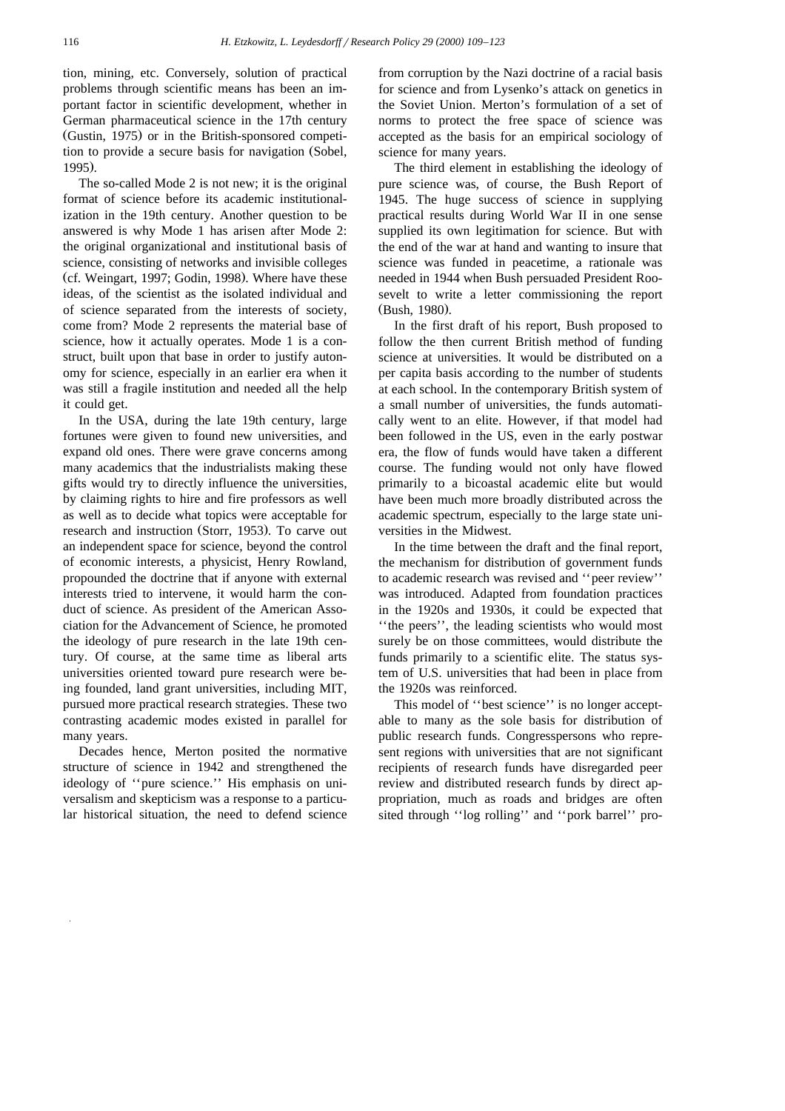tion, mining, etc. Conversely, solution of practical problems through scientific means has been an important factor in scientific development, whether in German pharmaceutical science in the 17th century  $(Gustin, 1975)$  or in the British-sponsored competition to provide a secure basis for navigation (Sobel, 1995).

The so-called Mode 2 is not new; it is the original format of science before its academic institutionalization in the 19th century. Another question to be answered is why Mode 1 has arisen after Mode 2: the original organizational and institutional basis of science, consisting of networks and invisible colleges (cf. Weingart, 1997; Godin, 1998). Where have these ideas, of the scientist as the isolated individual and of science separated from the interests of society, come from? Mode 2 represents the material base of science, how it actually operates. Mode 1 is a construct, built upon that base in order to justify autonomy for science, especially in an earlier era when it was still a fragile institution and needed all the help it could get.

In the USA, during the late 19th century, large fortunes were given to found new universities, and expand old ones. There were grave concerns among many academics that the industrialists making these gifts would try to directly influence the universities, by claiming rights to hire and fire professors as well as well as to decide what topics were acceptable for research and instruction (Storr, 1953). To carve out an independent space for science, beyond the control of economic interests, a physicist, Henry Rowland, propounded the doctrine that if anyone with external interests tried to intervene, it would harm the conduct of science. As president of the American Association for the Advancement of Science, he promoted the ideology of pure research in the late 19th century. Of course, at the same time as liberal arts universities oriented toward pure research were being founded, land grant universities, including MIT, pursued more practical research strategies. These two contrasting academic modes existed in parallel for many years.

Decades hence, Merton posited the normative structure of science in 1942 and strengthened the ideology of ''pure science.'' His emphasis on universalism and skepticism was a response to a particular historical situation, the need to defend science from corruption by the Nazi doctrine of a racial basis for science and from Lysenko's attack on genetics in the Soviet Union. Merton's formulation of a set of norms to protect the free space of science was accepted as the basis for an empirical sociology of science for many years.

The third element in establishing the ideology of pure science was, of course, the Bush Report of 1945. The huge success of science in supplying practical results during World War II in one sense supplied its own legitimation for science. But with the end of the war at hand and wanting to insure that science was funded in peacetime, a rationale was needed in 1944 when Bush persuaded President Roosevelt to write a letter commissioning the report (Bush, 1980).

In the first draft of his report, Bush proposed to follow the then current British method of funding science at universities. It would be distributed on a per capita basis according to the number of students at each school. In the contemporary British system of a small number of universities, the funds automatically went to an elite. However, if that model had been followed in the US, even in the early postwar era, the flow of funds would have taken a different course. The funding would not only have flowed primarily to a bicoastal academic elite but would have been much more broadly distributed across the academic spectrum, especially to the large state universities in the Midwest.

In the time between the draft and the final report, the mechanism for distribution of government funds to academic research was revised and ''peer review'' was introduced. Adapted from foundation practices in the 1920s and 1930s, it could be expected that ''the peers'', the leading scientists who would most surely be on those committees, would distribute the funds primarily to a scientific elite. The status system of U.S. universities that had been in place from the 1920s was reinforced.

This model of ''best science'' is no longer acceptable to many as the sole basis for distribution of public research funds. Congresspersons who represent regions with universities that are not significant recipients of research funds have disregarded peer review and distributed research funds by direct appropriation, much as roads and bridges are often sited through ''log rolling'' and ''pork barrel'' pro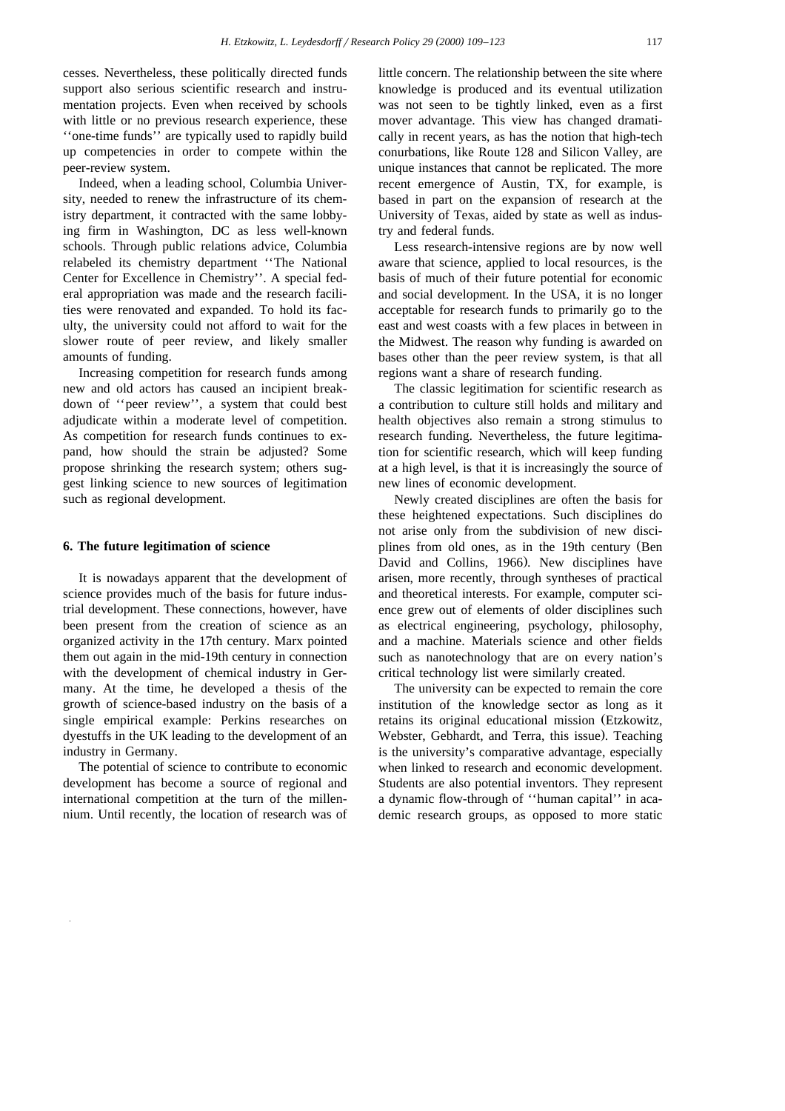cesses. Nevertheless, these politically directed funds support also serious scientific research and instrumentation projects. Even when received by schools with little or no previous research experience, these ''one-time funds'' are typically used to rapidly build up competencies in order to compete within the peer-review system.

Indeed, when a leading school, Columbia University, needed to renew the infrastructure of its chemistry department, it contracted with the same lobbying firm in Washington, DC as less well-known schools. Through public relations advice, Columbia relabeled its chemistry department ''The National Center for Excellence in Chemistry''. A special federal appropriation was made and the research facilities were renovated and expanded. To hold its faculty, the university could not afford to wait for the slower route of peer review, and likely smaller amounts of funding.

Increasing competition for research funds among new and old actors has caused an incipient breakdown of ''peer review'', a system that could best adjudicate within a moderate level of competition. As competition for research funds continues to expand, how should the strain be adjusted? Some propose shrinking the research system; others suggest linking science to new sources of legitimation such as regional development.

## **6. The future legitimation of science**

It is nowadays apparent that the development of science provides much of the basis for future industrial development. These connections, however, have been present from the creation of science as an organized activity in the 17th century. Marx pointed them out again in the mid-19th century in connection with the development of chemical industry in Germany. At the time, he developed a thesis of the growth of science-based industry on the basis of a single empirical example: Perkins researches on dyestuffs in the UK leading to the development of an industry in Germany.

The potential of science to contribute to economic development has become a source of regional and international competition at the turn of the millennium. Until recently, the location of research was of little concern. The relationship between the site where knowledge is produced and its eventual utilization was not seen to be tightly linked, even as a first mover advantage. This view has changed dramatically in recent years, as has the notion that high-tech conurbations, like Route 128 and Silicon Valley, are unique instances that cannot be replicated. The more recent emergence of Austin, TX, for example, is based in part on the expansion of research at the University of Texas, aided by state as well as industry and federal funds.

Less research-intensive regions are by now well aware that science, applied to local resources, is the basis of much of their future potential for economic and social development. In the USA, it is no longer acceptable for research funds to primarily go to the east and west coasts with a few places in between in the Midwest. The reason why funding is awarded on bases other than the peer review system, is that all regions want a share of research funding.

The classic legitimation for scientific research as a contribution to culture still holds and military and health objectives also remain a strong stimulus to research funding. Nevertheless, the future legitimation for scientific research, which will keep funding at a high level, is that it is increasingly the source of new lines of economic development.

Newly created disciplines are often the basis for these heightened expectations. Such disciplines do not arise only from the subdivision of new disciplines from old ones, as in the 19th century (Ben David and Collins, 1966). New disciplines have arisen, more recently, through syntheses of practical and theoretical interests. For example, computer science grew out of elements of older disciplines such as electrical engineering, psychology, philosophy, and a machine. Materials science and other fields such as nanotechnology that are on every nation's critical technology list were similarly created.

The university can be expected to remain the core institution of the knowledge sector as long as it retains its original educational mission (Etzkowitz, Webster, Gebhardt, and Terra, this issue). Teaching is the university's comparative advantage, especially when linked to research and economic development. Students are also potential inventors. They represent a dynamic flow-through of ''human capital'' in academic research groups, as opposed to more static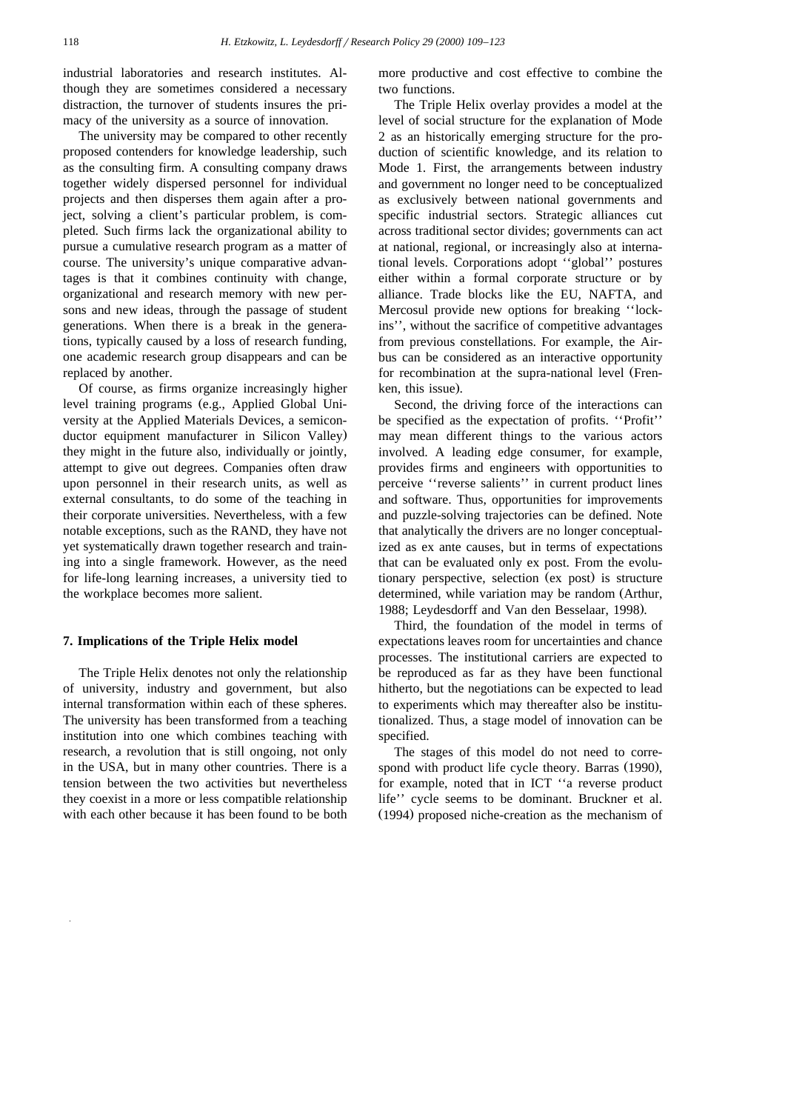industrial laboratories and research institutes. Although they are sometimes considered a necessary distraction, the turnover of students insures the primacy of the university as a source of innovation.

The university may be compared to other recently proposed contenders for knowledge leadership, such as the consulting firm. A consulting company draws together widely dispersed personnel for individual projects and then disperses them again after a project, solving a client's particular problem, is completed. Such firms lack the organizational ability to pursue a cumulative research program as a matter of course. The university's unique comparative advantages is that it combines continuity with change, organizational and research memory with new persons and new ideas, through the passage of student generations. When there is a break in the generations, typically caused by a loss of research funding, one academic research group disappears and can be replaced by another.

Of course, as firms organize increasingly higher level training programs (e.g., Applied Global University at the Applied Materials Devices, a semiconductor equipment manufacturer in Silicon Valley. they might in the future also, individually or jointly, attempt to give out degrees. Companies often draw upon personnel in their research units, as well as external consultants, to do some of the teaching in their corporate universities. Nevertheless, with a few notable exceptions, such as the RAND, they have not yet systematically drawn together research and training into a single framework. However, as the need for life-long learning increases, a university tied to the workplace becomes more salient.

### **7. Implications of the Triple Helix model**

The Triple Helix denotes not only the relationship of university, industry and government, but also internal transformation within each of these spheres. The university has been transformed from a teaching institution into one which combines teaching with research, a revolution that is still ongoing, not only in the USA, but in many other countries. There is a tension between the two activities but nevertheless they coexist in a more or less compatible relationship with each other because it has been found to be both

more productive and cost effective to combine the two functions.

The Triple Helix overlay provides a model at the level of social structure for the explanation of Mode 2 as an historically emerging structure for the production of scientific knowledge, and its relation to Mode 1. First, the arrangements between industry and government no longer need to be conceptualized as exclusively between national governments and specific industrial sectors. Strategic alliances cut across traditional sector divides; governments can act at national, regional, or increasingly also at international levels. Corporations adopt ''global'' postures either within a formal corporate structure or by alliance. Trade blocks like the EU, NAFTA, and Mercosul provide new options for breaking ''lockins'', without the sacrifice of competitive advantages from previous constellations. For example, the Airbus can be considered as an interactive opportunity for recombination at the supra-national level (Frenken, this issue).

Second, the driving force of the interactions can be specified as the expectation of profits. "Profit" may mean different things to the various actors involved. A leading edge consumer, for example, provides firms and engineers with opportunities to perceive ''reverse salients'' in current product lines and software. Thus, opportunities for improvements and puzzle-solving trajectories can be defined. Note that analytically the drivers are no longer conceptualized as ex ante causes, but in terms of expectations that can be evaluated only ex post. From the evolutionary perspective, selection (ex post) is structure determined, while variation may be random (Arthur, 1988; Leydesdorff and Van den Besselaar, 1998).

Third, the foundation of the model in terms of expectations leaves room for uncertainties and chance processes. The institutional carriers are expected to be reproduced as far as they have been functional hitherto, but the negotiations can be expected to lead to experiments which may thereafter also be institutionalized. Thus, a stage model of innovation can be specified.

The stages of this model do not need to correspond with product life cycle theory. Barras (1990), for example, noted that in ICT ''a reverse product life'' cycle seems to be dominant. Bruckner et al. (1994) proposed niche-creation as the mechanism of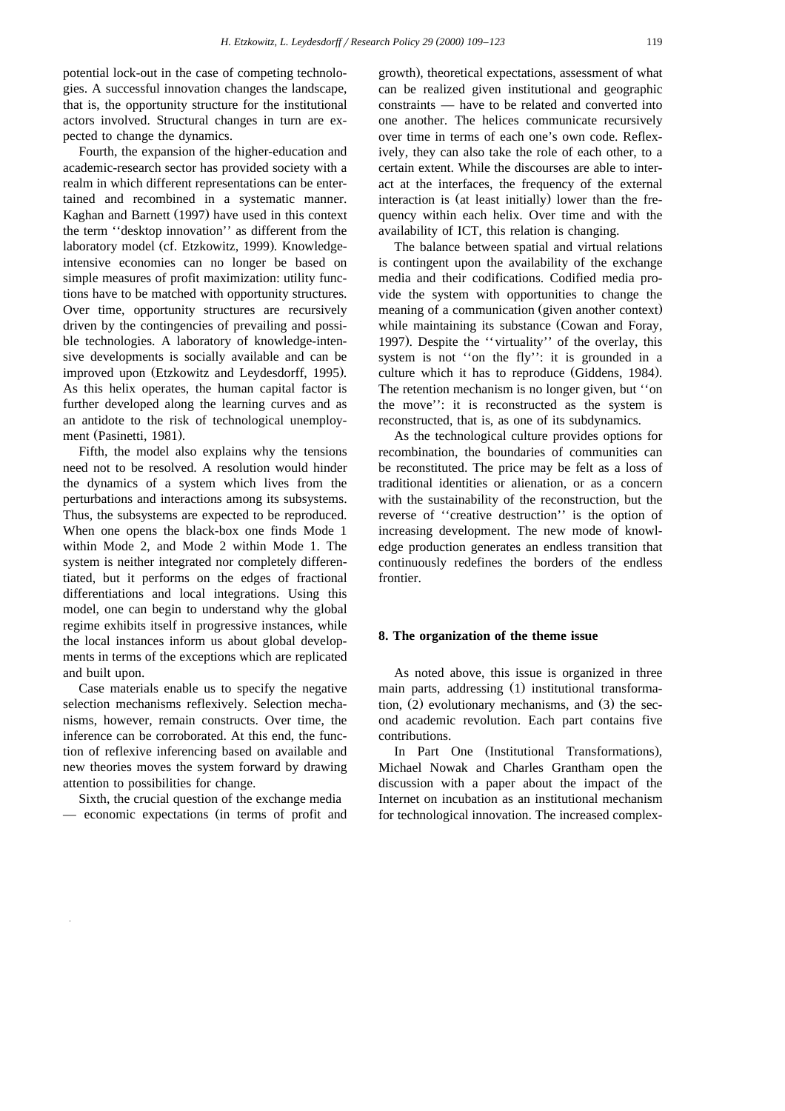potential lock-out in the case of competing technologies. A successful innovation changes the landscape, that is, the opportunity structure for the institutional actors involved. Structural changes in turn are expected to change the dynamics.

Fourth, the expansion of the higher-education and academic-research sector has provided society with a realm in which different representations can be entertained and recombined in a systematic manner. Kaghan and Barnett (1997) have used in this context the term ''desktop innovation'' as different from the laboratory model (cf. Etzkowitz, 1999). Knowledgeintensive economies can no longer be based on simple measures of profit maximization: utility functions have to be matched with opportunity structures. Over time, opportunity structures are recursively driven by the contingencies of prevailing and possible technologies. A laboratory of knowledge-intensive developments is socially available and can be improved upon (Etzkowitz and Leydesdorff, 1995). As this helix operates, the human capital factor is further developed along the learning curves and as an antidote to the risk of technological unemployment (Pasinetti, 1981).

Fifth, the model also explains why the tensions need not to be resolved. A resolution would hinder the dynamics of a system which lives from the perturbations and interactions among its subsystems. Thus, the subsystems are expected to be reproduced. When one opens the black-box one finds Mode 1 within Mode 2, and Mode 2 within Mode 1. The system is neither integrated nor completely differentiated, but it performs on the edges of fractional differentiations and local integrations. Using this model, one can begin to understand why the global regime exhibits itself in progressive instances, while the local instances inform us about global developments in terms of the exceptions which are replicated and built upon.

Case materials enable us to specify the negative selection mechanisms reflexively. Selection mechanisms, however, remain constructs. Over time, the inference can be corroborated. At this end, the function of reflexive inferencing based on available and new theories moves the system forward by drawing attention to possibilities for change.

Sixth, the crucial question of the exchange media — economic expectations (in terms of profit and growth), theoretical expectations, assessment of what can be realized given institutional and geographic constraints — have to be related and converted into one another. The helices communicate recursively over time in terms of each one's own code. Reflexively, they can also take the role of each other, to a certain extent. While the discourses are able to interact at the interfaces, the frequency of the external interaction is (at least initially) lower than the frequency within each helix. Over time and with the availability of ICT, this relation is changing.

The balance between spatial and virtual relations is contingent upon the availability of the exchange media and their codifications. Codified media provide the system with opportunities to change the meaning of a communication (given another context) while maintaining its substance (Cowan and Foray, 1997). Despite the "virtuality" of the overlay, this system is not ''on the fly'': it is grounded in a culture which it has to reproduce (Giddens, 1984). The retention mechanism is no longer given, but ''on the move'': it is reconstructed as the system is reconstructed, that is, as one of its subdynamics.

As the technological culture provides options for recombination, the boundaries of communities can be reconstituted. The price may be felt as a loss of traditional identities or alienation, or as a concern with the sustainability of the reconstruction, but the reverse of ''creative destruction'' is the option of increasing development. The new mode of knowledge production generates an endless transition that continuously redefines the borders of the endless frontier.

# **8. The organization of the theme issue**

As noted above, this issue is organized in three main parts, addressing (1) institutional transformation,  $(2)$  evolutionary mechanisms, and  $(3)$  the second academic revolution. Each part contains five contributions.

In Part One (Institutional Transformations). Michael Nowak and Charles Grantham open the discussion with a paper about the impact of the Internet on incubation as an institutional mechanism for technological innovation. The increased complex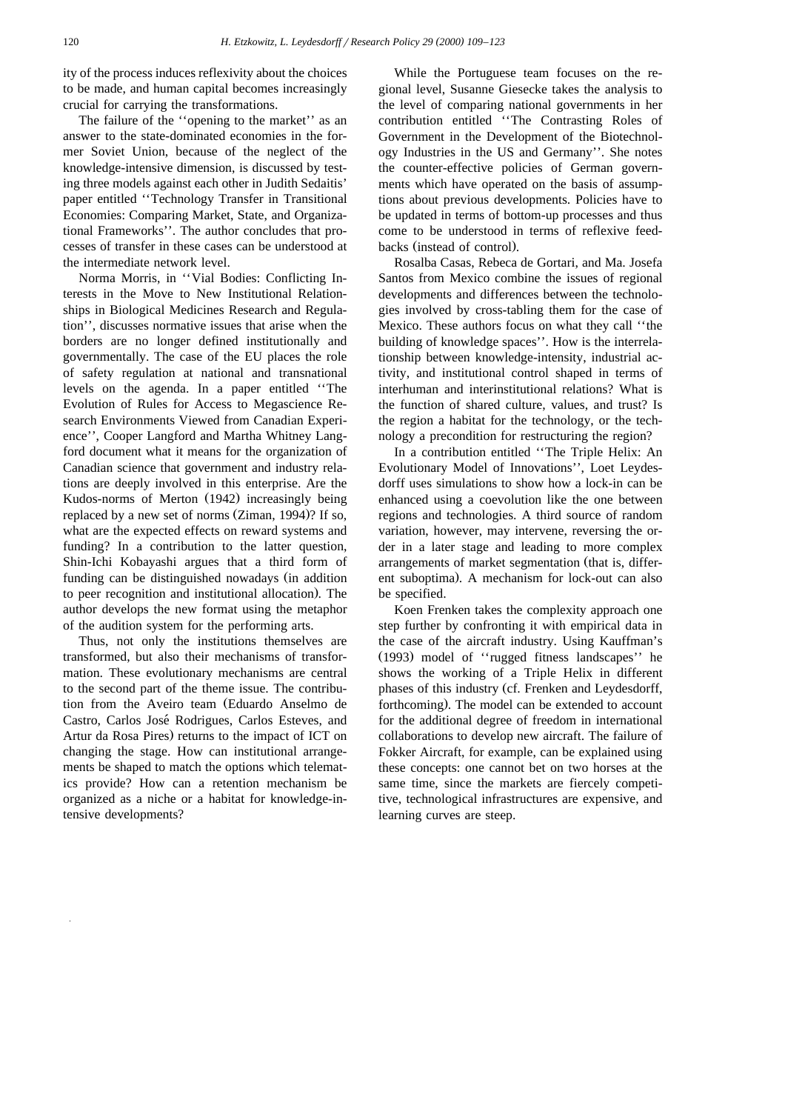ity of the process induces reflexivity about the choices to be made, and human capital becomes increasingly crucial for carrying the transformations.

The failure of the ''opening to the market'' as an answer to the state-dominated economies in the former Soviet Union, because of the neglect of the knowledge-intensive dimension, is discussed by testing three models against each other in Judith Sedaitis' paper entitled ''Technology Transfer in Transitional Economies: Comparing Market, State, and Organizational Frameworks''. The author concludes that processes of transfer in these cases can be understood at the intermediate network level.

Norma Morris, in ''Vial Bodies: Conflicting Interests in the Move to New Institutional Relationships in Biological Medicines Research and Regulation'', discusses normative issues that arise when the borders are no longer defined institutionally and governmentally. The case of the EU places the role of safety regulation at national and transnational levels on the agenda. In a paper entitled ''The Evolution of Rules for Access to Megascience Research Environments Viewed from Canadian Experience'', Cooper Langford and Martha Whitney Langford document what it means for the organization of Canadian science that government and industry relations are deeply involved in this enterprise. Are the Kudos-norms of Merton (1942) increasingly being replaced by a new set of norms (Ziman, 1994)? If so, what are the expected effects on reward systems and funding? In a contribution to the latter question, Shin-Ichi Kobayashi argues that a third form of funding can be distinguished nowadays (in addition to peer recognition and institutional allocation. The author develops the new format using the metaphor of the audition system for the performing arts.

Thus, not only the institutions themselves are transformed, but also their mechanisms of transformation. These evolutionary mechanisms are central to the second part of the theme issue. The contribution from the Aveiro team (Eduardo Anselmo de Castro, Carlos Jose Rodrigues, Carlos Esteves, and ´ Artur da Rosa Pires) returns to the impact of ICT on changing the stage. How can institutional arrangements be shaped to match the options which telematics provide? How can a retention mechanism be organized as a niche or a habitat for knowledge-intensive developments?

While the Portuguese team focuses on the regional level, Susanne Giesecke takes the analysis to the level of comparing national governments in her contribution entitled ''The Contrasting Roles of Government in the Development of the Biotechnology Industries in the US and Germany''. She notes the counter-effective policies of German governments which have operated on the basis of assumptions about previous developments. Policies have to be updated in terms of bottom-up processes and thus come to be understood in terms of reflexive feedbacks (instead of control).

Rosalba Casas, Rebeca de Gortari, and Ma. Josefa Santos from Mexico combine the issues of regional developments and differences between the technologies involved by cross-tabling them for the case of Mexico. These authors focus on what they call ''the building of knowledge spaces''. How is the interrelationship between knowledge-intensity, industrial activity, and institutional control shaped in terms of interhuman and interinstitutional relations? What is the function of shared culture, values, and trust? Is the region a habitat for the technology, or the technology a precondition for restructuring the region?

In a contribution entitled ''The Triple Helix: An Evolutionary Model of Innovations'', Loet Leydesdorff uses simulations to show how a lock-in can be enhanced using a coevolution like the one between regions and technologies. A third source of random variation, however, may intervene, reversing the order in a later stage and leading to more complex arrangements of market segmentation (that is, different suboptima). A mechanism for lock-out can also be specified.

Koen Frenken takes the complexity approach one step further by confronting it with empirical data in the case of the aircraft industry. Using Kauffman's (1993) model of "rugged fitness landscapes" he shows the working of a Triple Helix in different phases of this industry (cf. Frenken and Leydesdorff, forthcoming). The model can be extended to account for the additional degree of freedom in international collaborations to develop new aircraft. The failure of Fokker Aircraft, for example, can be explained using these concepts: one cannot bet on two horses at the same time, since the markets are fiercely competitive, technological infrastructures are expensive, and learning curves are steep.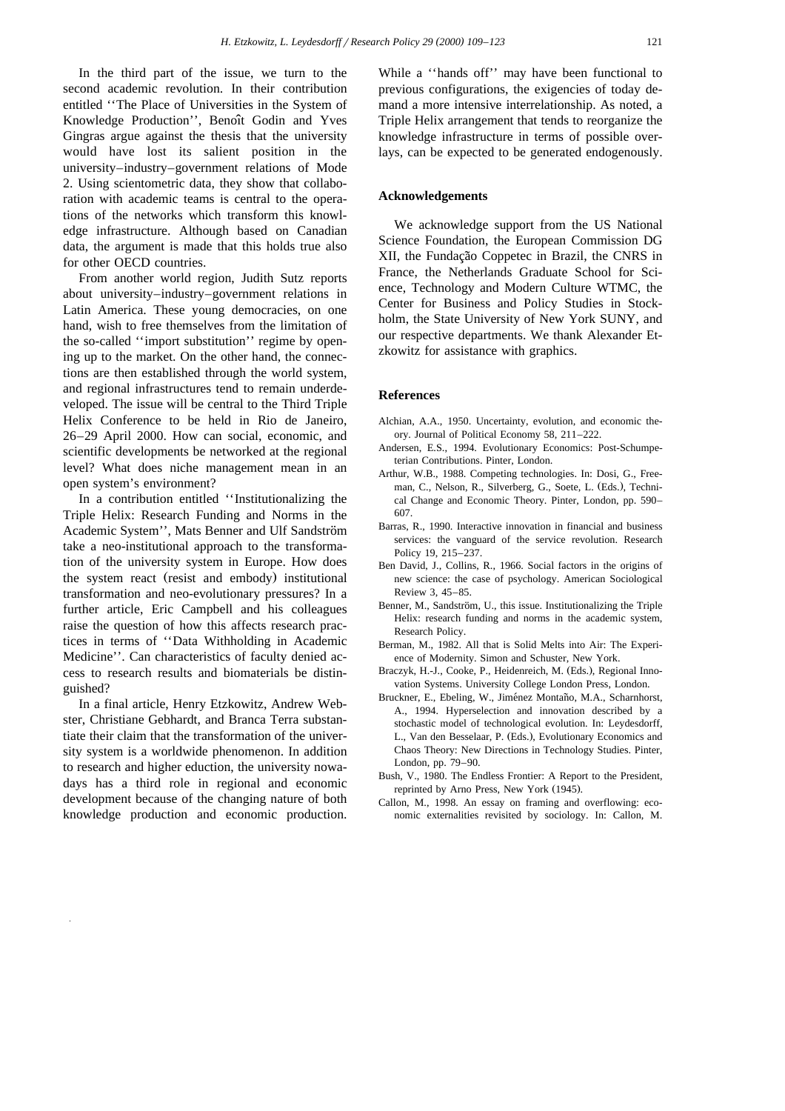In the third part of the issue, we turn to the second academic revolution. In their contribution entitled ''The Place of Universities in the System of Knowledge Production", Benoît Godin and Yves Gingras argue against the thesis that the university would have lost its salient position in the university–industry–government relations of Mode 2. Using scientometric data, they show that collaboration with academic teams is central to the operations of the networks which transform this knowledge infrastructure. Although based on Canadian data, the argument is made that this holds true also for other OECD countries.

From another world region, Judith Sutz reports about university–industry–government relations in Latin America. These young democracies, on one hand, wish to free themselves from the limitation of the so-called ''import substitution'' regime by opening up to the market. On the other hand, the connections are then established through the world system, and regional infrastructures tend to remain underdeveloped. The issue will be central to the Third Triple Helix Conference to be held in Rio de Janeiro, 26–29 April 2000. How can social, economic, and scientific developments be networked at the regional level? What does niche management mean in an open system's environment?

In a contribution entitled ''Institutionalizing the Triple Helix: Research Funding and Norms in the Academic System", Mats Benner and Ulf Sandström take a neo-institutional approach to the transformation of the university system in Europe. How does the system react (resist and embody) institutional transformation and neo-evolutionary pressures? In a further article, Eric Campbell and his colleagues raise the question of how this affects research practices in terms of ''Data Withholding in Academic Medicine''. Can characteristics of faculty denied access to research results and biomaterials be distinguished?

In a final article, Henry Etzkowitz, Andrew Webster, Christiane Gebhardt, and Branca Terra substantiate their claim that the transformation of the university system is a worldwide phenomenon. In addition to research and higher eduction, the university nowadays has a third role in regional and economic development because of the changing nature of both knowledge production and economic production. While a ''hands off'' may have been functional to previous configurations, the exigencies of today demand a more intensive interrelationship. As noted, a Triple Helix arrangement that tends to reorganize the knowledge infrastructure in terms of possible overlays, can be expected to be generated endogenously.

# **Acknowledgements**

We acknowledge support from the US National Science Foundation, the European Commission DG XII, the Fundação Coppetec in Brazil, the CNRS in France, the Netherlands Graduate School for Science, Technology and Modern Culture WTMC, the Center for Business and Policy Studies in Stockholm, the State University of New York SUNY, and our respective departments. We thank Alexander Etzkowitz for assistance with graphics.

## **References**

- Alchian, A.A., 1950. Uncertainty, evolution, and economic theory. Journal of Political Economy 58, 211–222.
- Andersen, E.S., 1994. Evolutionary Economics: Post-Schumpeterian Contributions. Pinter, London.
- Arthur, W.B., 1988. Competing technologies. In: Dosi, G., Freeman, C., Nelson, R., Silverberg, G., Soete, L. (Eds.), Technical Change and Economic Theory. Pinter, London, pp. 590– 607.
- Barras, R., 1990. Interactive innovation in financial and business services: the vanguard of the service revolution. Research Policy 19, 215–237.
- Ben David, J., Collins, R., 1966. Social factors in the origins of new science: the case of psychology. American Sociological Review 3, 45–85.
- Benner, M., Sandström, U., this issue. Institutionalizing the Triple Helix: research funding and norms in the academic system, Research Policy.
- Berman, M., 1982. All that is Solid Melts into Air: The Experience of Modernity. Simon and Schuster, New York.
- Braczyk, H.-J., Cooke, P., Heidenreich, M. (Eds.), Regional Innovation Systems. University College London Press, London.
- Bruckner, E., Ebeling, W., Jiménez Montaño, M.A., Scharnhorst, A., 1994. Hyperselection and innovation described by a stochastic model of technological evolution. In: Leydesdorff, L., Van den Besselaar, P. (Eds.), Evolutionary Economics and Chaos Theory: New Directions in Technology Studies. Pinter, London, pp. 79–90.
- Bush, V., 1980. The Endless Frontier: A Report to the President, reprinted by Arno Press, New York (1945).
- Callon, M., 1998. An essay on framing and overflowing: economic externalities revisited by sociology. In: Callon, M.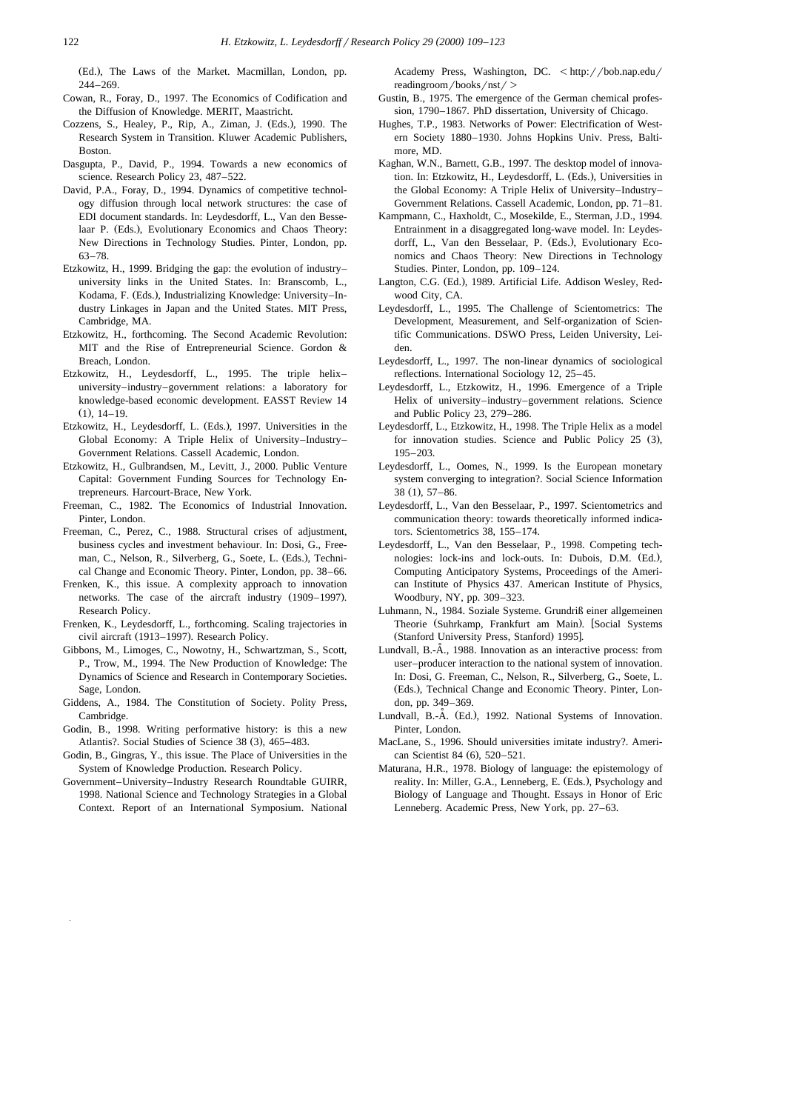(Ed.), The Laws of the Market. Macmillan, London, pp. 244–269.

- Cowan, R., Foray, D., 1997. The Economics of Codification and the Diffusion of Knowledge. MERIT, Maastricht.
- Cozzens, S., Healey, P., Rip, A., Ziman, J. (Eds.), 1990. The Research System in Transition. Kluwer Academic Publishers, Boston.
- Dasgupta, P., David, P., 1994. Towards a new economics of science. Research Policy 23, 487–522.
- David, P.A., Foray, D., 1994. Dynamics of competitive technology diffusion through local network structures: the case of EDI document standards. In: Leydesdorff, L., Van den Besselaar P. (Eds.), Evolutionary Economics and Chaos Theory: New Directions in Technology Studies. Pinter, London, pp. 63–78.
- Etzkowitz, H., 1999. Bridging the gap: the evolution of industry– university links in the United States. In: Branscomb, L., Kodama, F. (Eds.), Industrializing Knowledge: University-Industry Linkages in Japan and the United States. MIT Press, Cambridge, MA.
- Etzkowitz, H., forthcoming. The Second Academic Revolution: MIT and the Rise of Entrepreneurial Science. Gordon & Breach, London.
- Etzkowitz, H., Leydesdorff, L., 1995. The triple helix– university–industry–government relations: a laboratory for knowledge-based economic development. EASST Review 14  $(1)$ , 14–19.
- Etzkowitz, H., Leydesdorff, L. (Eds.), 1997. Universities in the Global Economy: A Triple Helix of University–Industry– Government Relations. Cassell Academic, London.
- Etzkowitz, H., Gulbrandsen, M., Levitt, J., 2000. Public Venture Capital: Government Funding Sources for Technology Entrepreneurs. Harcourt-Brace, New York.
- Freeman, C., 1982. The Economics of Industrial Innovation. Pinter, London.
- Freeman, C., Perez, C., 1988. Structural crises of adjustment, business cycles and investment behaviour. In: Dosi, G., Freeman, C., Nelson, R., Silverberg, G., Soete, L. (Eds.), Technical Change and Economic Theory. Pinter, London, pp. 38–66.
- Frenken, K., this issue. A complexity approach to innovation networks. The case of the aircraft industry (1909–1997). Research Policy.
- Frenken, K., Leydesdorff, L., forthcoming. Scaling trajectories in civil aircraft (1913–1997). Research Policy.
- Gibbons, M., Limoges, C., Nowotny, H., Schwartzman, S., Scott, P., Trow, M., 1994. The New Production of Knowledge: The Dynamics of Science and Research in Contemporary Societies. Sage, London.
- Giddens, A., 1984. The Constitution of Society. Polity Press, Cambridge.
- Godin, B., 1998. Writing performative history: is this a new Atlantis?. Social Studies of Science 38 (3), 465–483.
- Godin, B., Gingras, Y., this issue. The Place of Universities in the System of Knowledge Production. Research Policy.
- Government–University–Industry Research Roundtable GUIRR, 1998. National Science and Technology Strategies in a Global Context. Report of an International Symposium. National

Academy Press, Washington, DC.  $\lt$ http://bob.nap.edu/ readingroom/books/nst/ $>$ 

- Gustin, B., 1975. The emergence of the German chemical profession, 1790–1867. PhD dissertation, University of Chicago.
- Hughes, T.P., 1983. Networks of Power: Electrification of Western Society 1880–1930. Johns Hopkins Univ. Press, Baltimore, MD.
- Kaghan, W.N., Barnett, G.B., 1997. The desktop model of innovation. In: Etzkowitz, H., Leydesdorff, L. (Eds.), Universities in the Global Economy: A Triple Helix of University–Industry– Government Relations. Cassell Academic, London, pp. 71–81.
- Kampmann, C., Haxholdt, C., Mosekilde, E., Sterman, J.D., 1994. Entrainment in a disaggregated long-wave model. In: Leydesdorff, L., Van den Besselaar, P. (Eds.), Evolutionary Economics and Chaos Theory: New Directions in Technology Studies. Pinter, London, pp. 109–124.
- Langton, C.G. (Ed.), 1989. Artificial Life. Addison Wesley, Redwood City, CA.
- Leydesdorff, L., 1995. The Challenge of Scientometrics: The Development, Measurement, and Self-organization of Scientific Communications. DSWO Press, Leiden University, Leiden.
- Leydesdorff, L., 1997. The non-linear dynamics of sociological reflections. International Sociology 12, 25–45.
- Leydesdorff, L., Etzkowitz, H., 1996. Emergence of a Triple Helix of university–industry–government relations. Science and Public Policy 23, 279–286.
- Leydesdorff, L., Etzkowitz, H., 1998. The Triple Helix as a model for innovation studies. Science and Public Policy 25 (3), 195–203.
- Leydesdorff, L., Oomes, N., 1999. Is the European monetary system converging to integration?. Social Science Information  $38(1)$ ,  $57-86$ .
- Leydesdorff, L., Van den Besselaar, P., 1997. Scientometrics and communication theory: towards theoretically informed indicators. Scientometrics 38, 155–174.
- Leydesdorff, L., Van den Besselaar, P., 1998. Competing technologies: lock-ins and lock-outs. In: Dubois, D.M. (Ed.), Computing Anticipatory Systems, Proceedings of the American Institute of Physics 437. American Institute of Physics, Woodbury, NY, pp. 309–323.
- Luhmann, N., 1984. Soziale Systeme. Grundriß einer allgemeinen Theorie (Suhrkamp, Frankfurt am Main). [Social Systems (Stanford University Press, Stanford) 1995].
- Lundvall, B.-Å., 1988. Innovation as an interactive process: from user–producer interaction to the national system of innovation. In: Dosi, G. Freeman, C., Nelson, R., Silverberg, G., Soete, L. (Eds.), Technical Change and Economic Theory. Pinter, London, pp. 349–369.
- Lundvall, B.-Å. (Ed.), 1992. National Systems of Innovation. Pinter, London.
- MacLane, S., 1996. Should universities imitate industry?. American Scientist 84 (6), 520–521.
- Maturana, H.R., 1978. Biology of language: the epistemology of reality. In: Miller, G.A., Lenneberg, E. (Eds.), Psychology and Biology of Language and Thought. Essays in Honor of Eric Lenneberg. Academic Press, New York, pp. 27–63.